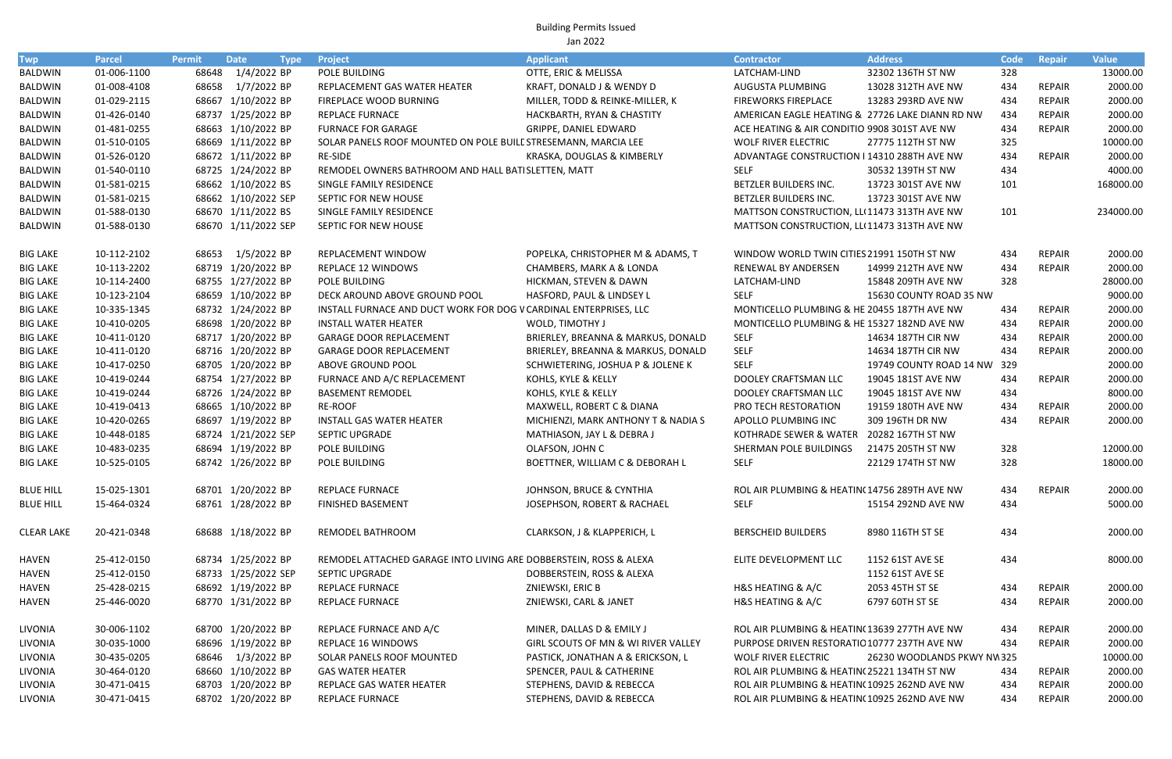Building Permits Issued Jan 2022

| <b>Twp</b>        | <b>Parcel</b> | <b>Permit</b> | <b>Date</b>         | <b>Type</b> | Project                                                           | <b>Applicant</b>                    | <b>Contractor</b>                               | <b>Address</b>              | Code | <b>Repair</b> | <b>Value</b> |
|-------------------|---------------|---------------|---------------------|-------------|-------------------------------------------------------------------|-------------------------------------|-------------------------------------------------|-----------------------------|------|---------------|--------------|
| <b>BALDWIN</b>    | 01-006-1100   | 68648         | 1/4/2022 BP         |             | POLE BUILDING                                                     | OTTE, ERIC & MELISSA                | LATCHAM-LIND                                    | 32302 136TH ST NW           | 328  |               | 13000.00     |
| <b>BALDWIN</b>    | 01-008-4108   | 68658         | 1/7/2022 BP         |             | REPLACEMENT GAS WATER HEATER                                      | KRAFT, DONALD J & WENDY D           | AUGUSTA PLUMBING                                | 13028 312TH AVE NW          | 434  | <b>REPAIR</b> | 2000.00      |
| <b>BALDWIN</b>    | 01-029-2115   |               | 68667 1/10/2022 BP  |             | FIREPLACE WOOD BURNING                                            | MILLER, TODD & REINKE-MILLER, K     | <b>FIREWORKS FIREPLACE</b>                      | 13283 293RD AVE NW          | 434  | <b>REPAIR</b> | 2000.00      |
| <b>BALDWIN</b>    | 01-426-0140   |               | 68737 1/25/2022 BP  |             | <b>REPLACE FURNACE</b>                                            | HACKBARTH, RYAN & CHASTITY          | AMERICAN EAGLE HEATING & 27726 LAKE DIANN RD NW |                             | 434  | <b>REPAIR</b> | 2000.00      |
| <b>BALDWIN</b>    | 01-481-0255   |               | 68663 1/10/2022 BP  |             | <b>FURNACE FOR GARAGE</b>                                         | GRIPPE, DANIEL EDWARD               | ACE HEATING & AIR CONDITIO 9908 301ST AVE NW    |                             | 434  | <b>REPAIR</b> | 2000.00      |
| <b>BALDWIN</b>    | 01-510-0105   |               | 68669 1/11/2022 BP  |             | SOLAR PANELS ROOF MOUNTED ON POLE BUILL STRESEMANN, MARCIA LEE    |                                     | <b>WOLF RIVER ELECTRIC</b>                      | 27775 112TH ST NW           | 325  |               | 10000.00     |
| <b>BALDWIN</b>    | 01-526-0120   |               | 68672 1/11/2022 BP  |             | <b>RE-SIDE</b>                                                    | KRASKA, DOUGLAS & KIMBERLY          | ADVANTAGE CONSTRUCTION I 14310 288TH AVE NW     |                             | 434  | <b>REPAIR</b> | 2000.00      |
| BALDWIN           | 01-540-0110   |               | 68725 1/24/2022 BP  |             | REMODEL OWNERS BATHROOM AND HALL BATISLETTEN, MATT                |                                     | <b>SELF</b>                                     | 30532 139TH ST NW           | 434  |               | 4000.00      |
| BALDWIN           | 01-581-0215   |               | 68662 1/10/2022 BS  |             | SINGLE FAMILY RESIDENCE                                           |                                     | BETZLER BUILDERS INC.                           | 13723 301ST AVE NW          | 101  |               | 168000.00    |
| <b>BALDWIN</b>    | 01-581-0215   |               | 68662 1/10/2022 SEP |             | SEPTIC FOR NEW HOUSE                                              |                                     | BETZLER BUILDERS INC.                           | 13723 301ST AVE NW          |      |               |              |
| <b>BALDWIN</b>    | 01-588-0130   |               | 68670 1/11/2022 BS  |             | SINGLE FAMILY RESIDENCE                                           |                                     | MATTSON CONSTRUCTION, LLI 11473 313TH AVE NW    |                             | 101  |               | 234000.00    |
| <b>BALDWIN</b>    | 01-588-0130   |               | 68670 1/11/2022 SEP |             | SEPTIC FOR NEW HOUSE                                              |                                     | MATTSON CONSTRUCTION, LLI 11473 313TH AVE NW    |                             |      |               |              |
| <b>BIG LAKE</b>   | 10-112-2102   | 68653         | 1/5/2022 BP         |             | REPLACEMENT WINDOW                                                | POPELKA, CHRISTOPHER M & ADAMS, T   | WINDOW WORLD TWIN CITIES 21991 150TH ST NW      |                             | 434  | <b>REPAIR</b> | 2000.00      |
| <b>BIG LAKE</b>   | 10-113-2202   |               | 68719 1/20/2022 BP  |             | REPLACE 12 WINDOWS                                                | CHAMBERS, MARK A & LONDA            | RENEWAL BY ANDERSEN                             | 14999 212TH AVE NW          | 434  | <b>REPAIR</b> | 2000.00      |
| <b>BIG LAKE</b>   | 10-114-2400   |               | 68755 1/27/2022 BP  |             | POLE BUILDING                                                     | HICKMAN, STEVEN & DAWN              | LATCHAM-LIND                                    | 15848 209TH AVE NW          | 328  |               | 28000.00     |
| <b>BIG LAKE</b>   | 10-123-2104   |               | 68659 1/10/2022 BP  |             | DECK AROUND ABOVE GROUND POOL                                     | HASFORD, PAUL & LINDSEY L           | <b>SELF</b>                                     | 15630 COUNTY ROAD 35 NW     |      |               | 9000.00      |
| <b>BIG LAKE</b>   | 10-335-1345   |               | 68732 1/24/2022 BP  |             | INSTALL FURNACE AND DUCT WORK FOR DOG V CARDINAL ENTERPRISES, LLC |                                     | MONTICELLO PLUMBING & HE 20455 187TH AVE NW     |                             | 434  | REPAIR        | 2000.00      |
| <b>BIG LAKE</b>   | 10-410-0205   |               | 68698 1/20/2022 BP  |             | <b>INSTALL WATER HEATER</b>                                       | WOLD, TIMOTHY J                     | MONTICELLO PLUMBING & HE 15327 182ND AVE NW     |                             | 434  | <b>REPAIR</b> | 2000.00      |
| <b>BIG LAKE</b>   | 10-411-0120   |               | 68717 1/20/2022 BP  |             | <b>GARAGE DOOR REPLACEMENT</b>                                    | BRIERLEY, BREANNA & MARKUS, DONALD  | <b>SELF</b>                                     | 14634 187TH CIR NW          | 434  | <b>REPAIR</b> | 2000.00      |
| <b>BIG LAKE</b>   | 10-411-0120   |               | 68716 1/20/2022 BP  |             | <b>GARAGE DOOR REPLACEMENT</b>                                    | BRIERLEY, BREANNA & MARKUS, DONALD  | <b>SELF</b>                                     | 14634 187TH CIR NW          | 434  | <b>REPAIR</b> | 2000.00      |
| <b>BIG LAKE</b>   | 10-417-0250   |               | 68705 1/20/2022 BP  |             | ABOVE GROUND POOL                                                 | SCHWIETERING, JOSHUA P & JOLENE K   | <b>SELF</b>                                     | 19749 COUNTY ROAD 14 NW 329 |      |               | 2000.00      |
| <b>BIG LAKE</b>   | 10-419-0244   |               | 68754 1/27/2022 BP  |             | FURNACE AND A/C REPLACEMENT                                       | KOHLS, KYLE & KELLY                 | DOOLEY CRAFTSMAN LLC                            | 19045 181ST AVE NW          | 434  | <b>REPAIR</b> | 2000.00      |
| <b>BIG LAKE</b>   | 10-419-0244   |               | 68726 1/24/2022 BP  |             | <b>BASEMENT REMODEL</b>                                           | KOHLS, KYLE & KELLY                 | DOOLEY CRAFTSMAN LLC                            | 19045 181ST AVE NW          | 434  |               | 8000.00      |
| <b>BIG LAKE</b>   | 10-419-0413   |               | 68665 1/10/2022 BP  |             | RE-ROOF                                                           | MAXWELL, ROBERT C & DIANA           | PRO TECH RESTORATION                            | 19159 180TH AVE NW          | 434  | <b>REPAIR</b> | 2000.00      |
| <b>BIG LAKE</b>   | 10-420-0265   |               | 68697 1/19/2022 BP  |             | <b>INSTALL GAS WATER HEATER</b>                                   | MICHIENZI, MARK ANTHONY T & NADIA S | APOLLO PLUMBING INC                             | 309 196TH DR NW             | 434  | <b>REPAIR</b> | 2000.00      |
| <b>BIG LAKE</b>   | 10-448-0185   |               | 68724 1/21/2022 SEP |             | <b>SEPTIC UPGRADE</b>                                             | MATHIASON, JAY L & DEBRA J          | KOTHRADE SEWER & WATER                          | 20282 167TH ST NW           |      |               |              |
| <b>BIG LAKE</b>   | 10-483-0235   |               | 68694 1/19/2022 BP  |             | POLE BUILDING                                                     | OLAFSON, JOHN C                     | SHERMAN POLE BUILDINGS                          | 21475 205TH ST NW           | 328  |               | 12000.00     |
| <b>BIG LAKE</b>   | 10-525-0105   |               | 68742 1/26/2022 BP  |             | POLE BUILDING                                                     | BOETTNER, WILLIAM C & DEBORAH L     | <b>SELF</b>                                     | 22129 174TH ST NW           | 328  |               | 18000.00     |
| <b>BLUE HILL</b>  | 15-025-1301   |               | 68701 1/20/2022 BP  |             | <b>REPLACE FURNACE</b>                                            | JOHNSON, BRUCE & CYNTHIA            | ROL AIR PLUMBING & HEATIN(14756 289TH AVE NW    |                             | 434  | <b>REPAIR</b> | 2000.00      |
| <b>BLUE HILL</b>  | 15-464-0324   |               | 68761 1/28/2022 BP  |             | <b>FINISHED BASEMENT</b>                                          | JOSEPHSON, ROBERT & RACHAEL         | <b>SELF</b>                                     | 15154 292ND AVE NW          | 434  |               | 5000.00      |
| <b>CLEAR LAKE</b> | 20-421-0348   |               | 68688 1/18/2022 BP  |             | REMODEL BATHROOM                                                  | CLARKSON, J & KLAPPERICH, L         | <b>BERSCHEID BUILDERS</b>                       | 8980 116TH ST SE            | 434  |               | 2000.00      |
| <b>HAVEN</b>      | 25-412-0150   |               | 68734 1/25/2022 BP  |             | REMODEL ATTACHED GARAGE INTO LIVING ARE DOBBERSTEIN, ROSS & ALEXA |                                     | ELITE DEVELOPMENT LLC                           | 1152 61ST AVE SE            | 434  |               | 8000.00      |
| <b>HAVEN</b>      | 25-412-0150   |               | 68733 1/25/2022 SEP |             | <b>SEPTIC UPGRADE</b>                                             | DOBBERSTEIN, ROSS & ALEXA           |                                                 | 1152 61ST AVE SE            |      |               |              |
| <b>HAVEN</b>      | 25-428-0215   |               | 68692 1/19/2022 BP  |             | <b>REPLACE FURNACE</b>                                            | ZNIEWSKI, ERIC B                    | H&S HEATING & A/C                               | 2053 45TH ST SE             | 434  | REPAIR        | 2000.00      |
| <b>HAVEN</b>      | 25-446-0020   |               | 68770 1/31/2022 BP  |             | REPLACE FURNACE                                                   | ZNIEWSKI, CARL & JANET              | H&S HEATING & A/C                               | 6797 60TH ST SE             | 434  | <b>REPAIR</b> | 2000.00      |
| LIVONIA           | 30-006-1102   |               | 68700 1/20/2022 BP  |             | REPLACE FURNACE AND A/C                                           | MINER, DALLAS D & EMILY J           | ROL AIR PLUMBING & HEATIN(13639 277TH AVE NW    |                             | 434  | REPAIR        | 2000.00      |
| LIVONIA           | 30-035-1000   |               | 68696 1/19/2022 BP  |             | REPLACE 16 WINDOWS                                                | GIRL SCOUTS OF MN & WI RIVER VALLEY | PURPOSE DRIVEN RESTORATIC 10777 237TH AVE NW    |                             | 434  | <b>REPAIR</b> | 2000.00      |
| LIVONIA           | 30-435-0205   |               | 68646 1/3/2022 BP   |             | SOLAR PANELS ROOF MOUNTED                                         | PASTICK, JONATHAN A & ERICKSON, L   | <b>WOLF RIVER ELECTRIC</b>                      | 26230 WOODLANDS PKWY NW 325 |      |               | 10000.00     |
| LIVONIA           | 30-464-0120   |               | 68660 1/10/2022 BP  |             | <b>GAS WATER HEATER</b>                                           | SPENCER, PAUL & CATHERINE           | ROL AIR PLUMBING & HEATIN(25221 134TH ST NW     |                             | 434  | <b>REPAIR</b> | 2000.00      |
| LIVONIA           | 30-471-0415   |               | 68703 1/20/2022 BP  |             | REPLACE GAS WATER HEATER                                          | STEPHENS, DAVID & REBECCA           | ROL AIR PLUMBING & HEATIN(10925 262ND AVE NW    |                             | 434  | <b>REPAIR</b> | 2000.00      |
| LIVONIA           | 30-471-0415   |               | 68702 1/20/2022 BP  |             | REPLACE FURNACE                                                   | STEPHENS, DAVID & REBECCA           | ROL AIR PLUMBING & HEATIN(10925 262ND AVE NW    |                             | 434  | <b>REPAIR</b> | 2000.00      |